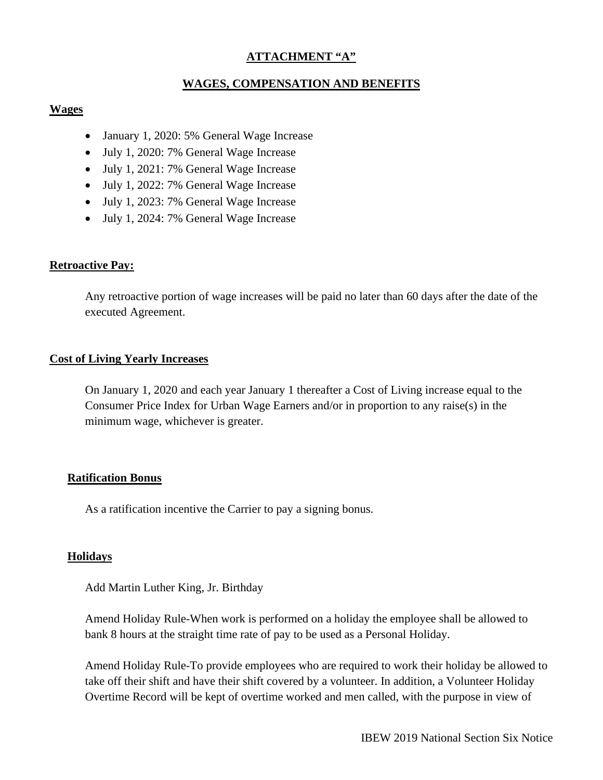# **ATTACHMENT "A"**

## **WAGES, COMPENSATION AND BENEFITS**

## **Wages**

- January 1, 2020: 5% General Wage Increase
- July 1, 2020: 7% General Wage Increase
- July 1, 2021: 7% General Wage Increase
- July 1, 2022: 7% General Wage Increase
- July 1, 2023: 7% General Wage Increase
- July 1, 2024: 7% General Wage Increase

## **Retroactive Pay:**

Any retroactive portion of wage increases will be paid no later than 60 days after the date of the executed Agreement.

## **Cost of Living Yearly Increases**

On January 1, 2020 and each year January 1 thereafter a Cost of Living increase equal to the Consumer Price Index for Urban Wage Earners and/or in proportion to any raise(s) in the minimum wage, whichever is greater.

### **Ratification Bonus**

As a ratification incentive the Carrier to pay a signing bonus.

## **Holidays**

Add Martin Luther King, Jr. Birthday

Amend Holiday Rule-When work is performed on a holiday the employee shall be allowed to bank 8 hours at the straight time rate of pay to be used as a Personal Holiday.

Amend Holiday Rule-To provide employees who are required to work their holiday be allowed to take off their shift and have their shift covered by a volunteer. In addition, a Volunteer Holiday Overtime Record will be kept of overtime worked and men called, with the purpose in view of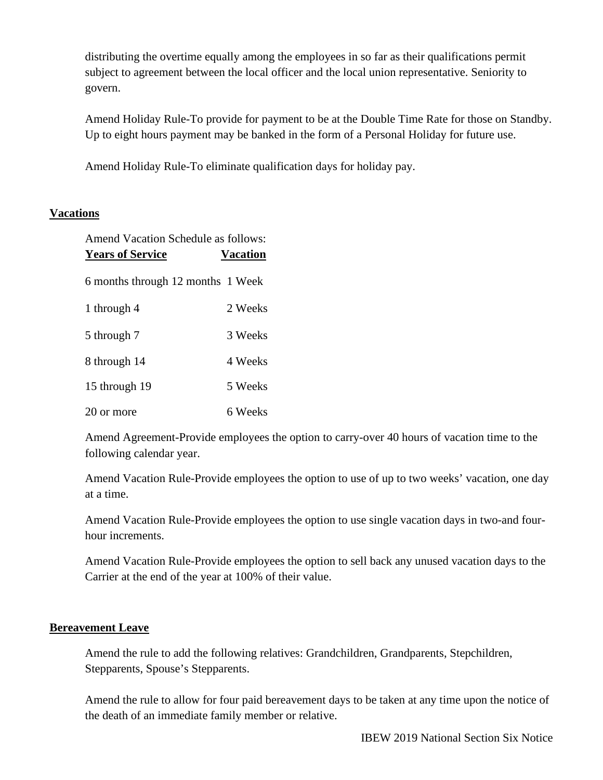distributing the overtime equally among the employees in so far as their qualifications permit subject to agreement between the local officer and the local union representative. Seniority to govern.

Amend Holiday Rule-To provide for payment to be at the Double Time Rate for those on Standby. Up to eight hours payment may be banked in the form of a Personal Holiday for future use.

Amend Holiday Rule-To eliminate qualification days for holiday pay.

# **Vacations**

| <b>Amend Vacation Schedule as follows:</b><br><b>Years of Service</b> | <b>Vacation</b> |
|-----------------------------------------------------------------------|-----------------|
| 6 months through 12 months 1 Week                                     |                 |
| 1 through 4                                                           | 2 Weeks         |
| 5 through 7                                                           | 3 Weeks         |
| 8 through 14                                                          | 4 Weeks         |
| 15 through 19                                                         | 5 Weeks         |
| 20 or more                                                            | 6 Weeks         |

Amend Agreement-Provide employees the option to carry-over 40 hours of vacation time to the following calendar year.

Amend Vacation Rule-Provide employees the option to use of up to two weeks' vacation, one day at a time.

Amend Vacation Rule-Provide employees the option to use single vacation days in two-and fourhour increments.

Amend Vacation Rule-Provide employees the option to sell back any unused vacation days to the Carrier at the end of the year at 100% of their value.

# **Bereavement Leave**

Amend the rule to add the following relatives: Grandchildren, Grandparents, Stepchildren, Stepparents, Spouse's Stepparents.

Amend the rule to allow for four paid bereavement days to be taken at any time upon the notice of the death of an immediate family member or relative.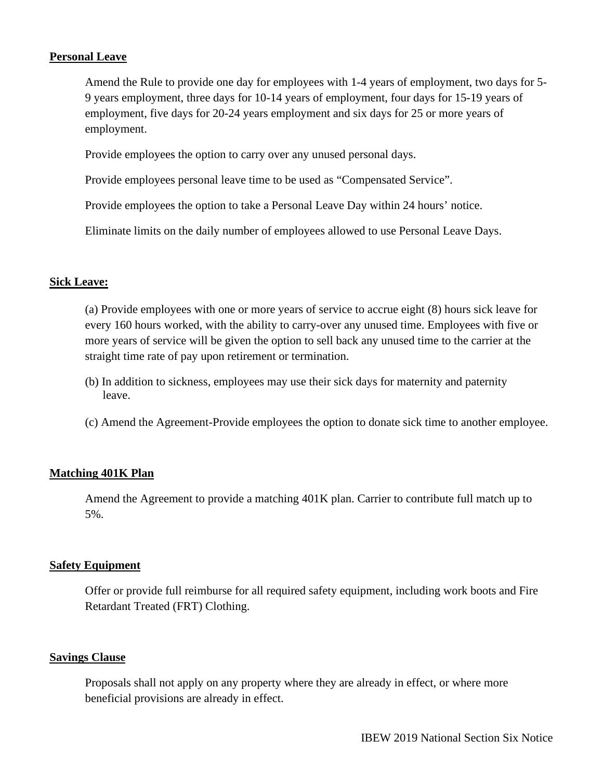## **Personal Leave**

Amend the Rule to provide one day for employees with 1-4 years of employment, two days for 5- 9 years employment, three days for 10-14 years of employment, four days for 15-19 years of employment, five days for 20-24 years employment and six days for 25 or more years of employment.

Provide employees the option to carry over any unused personal days.

Provide employees personal leave time to be used as "Compensated Service".

Provide employees the option to take a Personal Leave Day within 24 hours' notice.

Eliminate limits on the daily number of employees allowed to use Personal Leave Days.

## **Sick Leave:**

(a) Provide employees with one or more years of service to accrue eight (8) hours sick leave for every 160 hours worked, with the ability to carry-over any unused time. Employees with five or more years of service will be given the option to sell back any unused time to the carrier at the straight time rate of pay upon retirement or termination.

- (b) In addition to sickness, employees may use their sick days for maternity and paternity leave.
- (c) Amend the Agreement-Provide employees the option to donate sick time to another employee.

# **Matching 401K Plan**

Amend the Agreement to provide a matching 401K plan. Carrier to contribute full match up to 5%.

## **Safety Equipment**

Offer or provide full reimburse for all required safety equipment, including work boots and Fire Retardant Treated (FRT) Clothing.

## **Savings Clause**

Proposals shall not apply on any property where they are already in effect, or where more beneficial provisions are already in effect.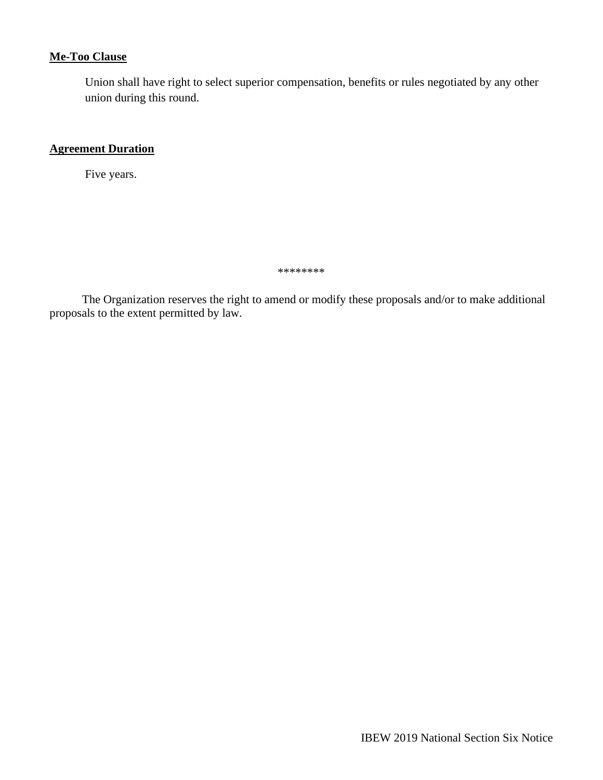# **Me-Too Clause**

Union shall have right to select superior compensation, benefits or rules negotiated by any other union during this round.

## **Agreement Duration**

Five years.

\*\*\*\*\*\*\*\*

 The Organization reserves the right to amend or modify these proposals and/or to make additional proposals to the extent permitted by law.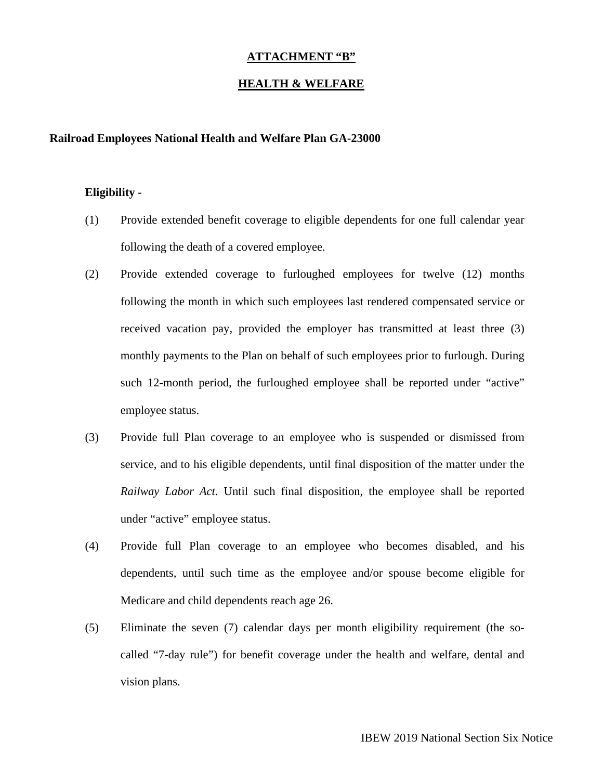## **ATTACHMENT "B"**

### **HEALTH & WELFARE**

#### **Railroad Employees National Health and Welfare Plan GA-23000**

#### **Eligibility -**

- (1) Provide extended benefit coverage to eligible dependents for one full calendar year following the death of a covered employee.
- (2) Provide extended coverage to furloughed employees for twelve (12) months following the month in which such employees last rendered compensated service or received vacation pay, provided the employer has transmitted at least three (3) monthly payments to the Plan on behalf of such employees prior to furlough. During such 12-month period, the furloughed employee shall be reported under "active" employee status.
- (3) Provide full Plan coverage to an employee who is suspended or dismissed from service, and to his eligible dependents, until final disposition of the matter under the *Railway Labor Act.* Until such final disposition, the employee shall be reported under "active" employee status.
- (4) Provide full Plan coverage to an employee who becomes disabled, and his dependents, until such time as the employee and/or spouse become eligible for Medicare and child dependents reach age 26.
- (5) Eliminate the seven (7) calendar days per month eligibility requirement (the socalled "7-day rule") for benefit coverage under the health and welfare, dental and vision plans.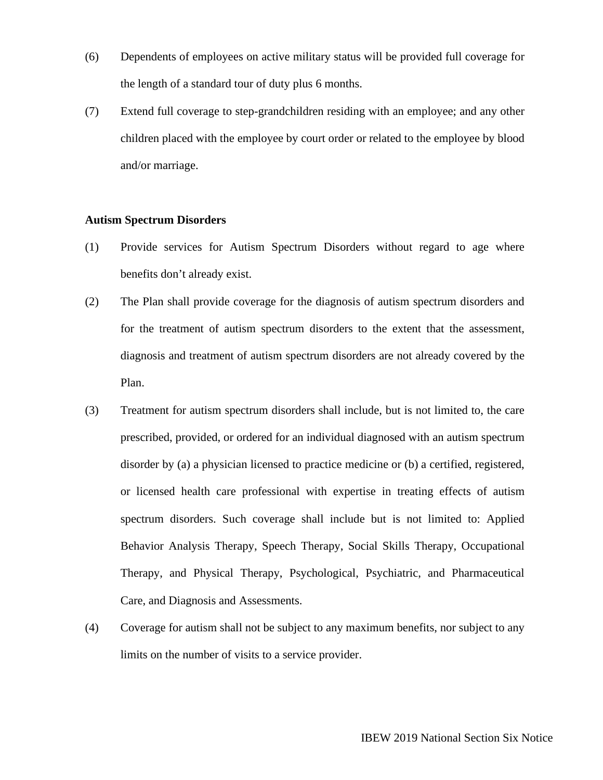- (6) Dependents of employees on active military status will be provided full coverage for the length of a standard tour of duty plus 6 months.
- (7) Extend full coverage to step-grandchildren residing with an employee; and any other children placed with the employee by court order or related to the employee by blood and/or marriage.

### **Autism Spectrum Disorders**

- (1) Provide services for Autism Spectrum Disorders without regard to age where benefits don't already exist.
- (2) The Plan shall provide coverage for the diagnosis of autism spectrum disorders and for the treatment of autism spectrum disorders to the extent that the assessment, diagnosis and treatment of autism spectrum disorders are not already covered by the Plan.
- (3) Treatment for autism spectrum disorders shall include, but is not limited to, the care prescribed, provided, or ordered for an individual diagnosed with an autism spectrum disorder by (a) a physician licensed to practice medicine or (b) a certified, registered, or licensed health care professional with expertise in treating effects of autism spectrum disorders. Such coverage shall include but is not limited to: Applied Behavior Analysis Therapy, Speech Therapy, Social Skills Therapy, Occupational Therapy, and Physical Therapy, Psychological, Psychiatric, and Pharmaceutical Care, and Diagnosis and Assessments.
- (4) Coverage for autism shall not be subject to any maximum benefits, nor subject to any limits on the number of visits to a service provider.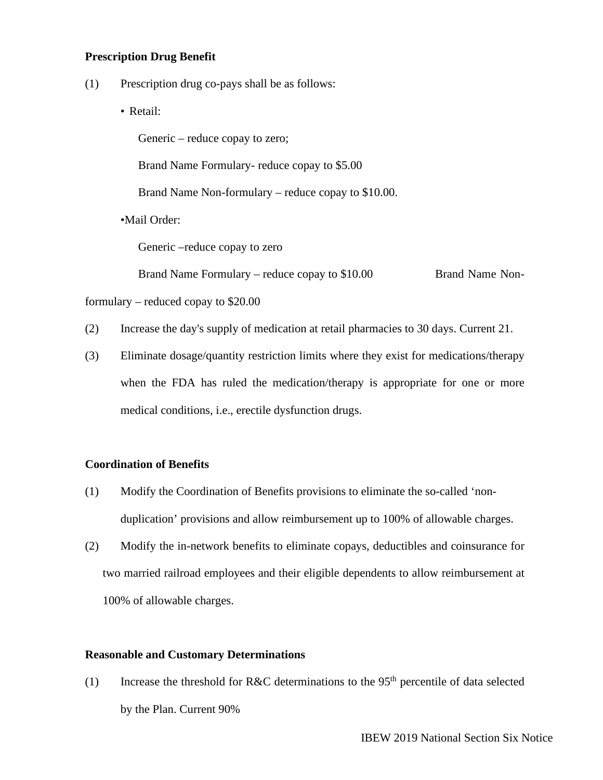### **Prescription Drug Benefit**

- (1) Prescription drug co-pays shall be as follows:
	- Retail:

Generic – reduce copay to zero;

Brand Name Formulary- reduce copay to \$5.00

Brand Name Non-formulary – reduce copay to \$10.00.

•Mail Order:

Generic –reduce copay to zero

Brand Name Formulary – reduce copay to \$10.00 Brand Name Non-

formulary – reduced copay to \$20.00

- (2) Increase the day's supply of medication at retail pharmacies to 30 days. Current 21.
- (3) Eliminate dosage/quantity restriction limits where they exist for medications/therapy when the FDA has ruled the medication/therapy is appropriate for one or more medical conditions, i.e., erectile dysfunction drugs.

#### **Coordination of Benefits**

- (1) Modify the Coordination of Benefits provisions to eliminate the so-called 'nonduplication' provisions and allow reimbursement up to 100% of allowable charges.
- (2) Modify the in-network benefits to eliminate copays, deductibles and coinsurance for two married railroad employees and their eligible dependents to allow reimbursement at 100% of allowable charges.

### **Reasonable and Customary Determinations**

(1) Increase the threshold for R&C determinations to the  $95<sup>th</sup>$  percentile of data selected by the Plan. Current 90%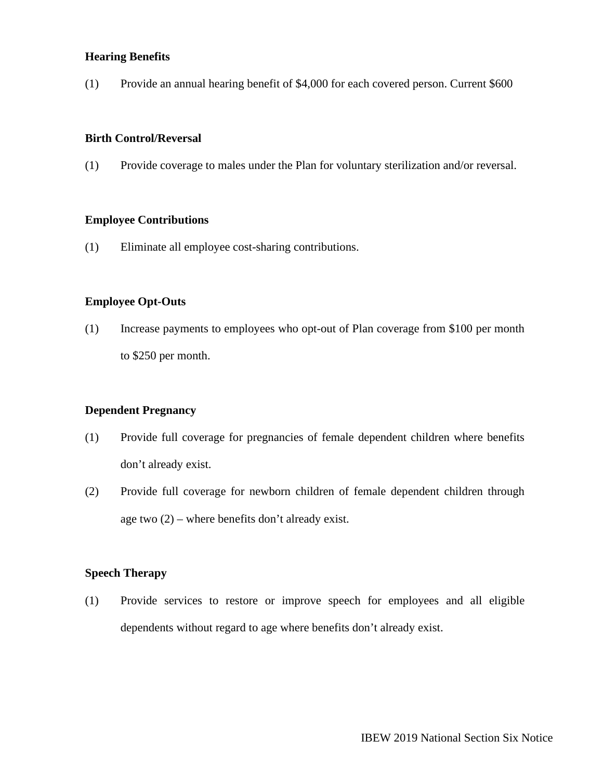## **Hearing Benefits**

(1) Provide an annual hearing benefit of \$4,000 for each covered person. Current \$600

# **Birth Control/Reversal**

(1) Provide coverage to males under the Plan for voluntary sterilization and/or reversal.

### **Employee Contributions**

(1) Eliminate all employee cost-sharing contributions.

## **Employee Opt-Outs**

(1) Increase payments to employees who opt-out of Plan coverage from \$100 per month to \$250 per month.

### **Dependent Pregnancy**

- (1) Provide full coverage for pregnancies of female dependent children where benefits don't already exist.
- (2) Provide full coverage for newborn children of female dependent children through age two  $(2)$  – where benefits don't already exist.

### **Speech Therapy**

(1) Provide services to restore or improve speech for employees and all eligible dependents without regard to age where benefits don't already exist.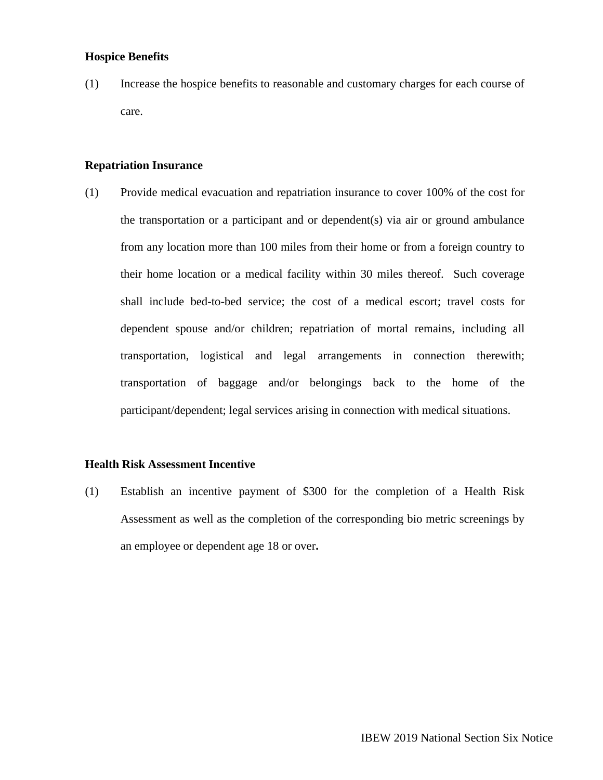### **Hospice Benefits**

(1) Increase the hospice benefits to reasonable and customary charges for each course of care.

#### **Repatriation Insurance**

(1) Provide medical evacuation and repatriation insurance to cover 100% of the cost for the transportation or a participant and or dependent(s) via air or ground ambulance from any location more than 100 miles from their home or from a foreign country to their home location or a medical facility within 30 miles thereof. Such coverage shall include bed-to-bed service; the cost of a medical escort; travel costs for dependent spouse and/or children; repatriation of mortal remains, including all transportation, logistical and legal arrangements in connection therewith; transportation of baggage and/or belongings back to the home of the participant/dependent; legal services arising in connection with medical situations.

#### **Health Risk Assessment Incentive**

(1) Establish an incentive payment of \$300 for the completion of a Health Risk Assessment as well as the completion of the corresponding bio metric screenings by an employee or dependent age 18 or over**.**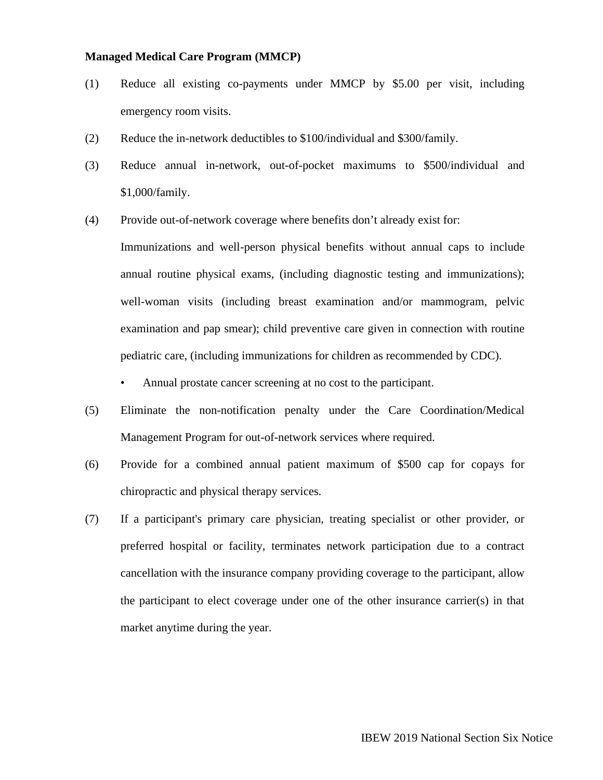#### **Managed Medical Care Program (MMCP)**

- (1) Reduce all existing co-payments under MMCP by \$5.00 per visit, including emergency room visits.
- (2) Reduce the in-network deductibles to \$100/individual and \$300/family.
- (3) Reduce annual in-network, out-of-pocket maximums to \$500/individual and \$1,000/family.
- (4) Provide out-of-network coverage where benefits don't already exist for:

Immunizations and well-person physical benefits without annual caps to include annual routine physical exams, (including diagnostic testing and immunizations); well-woman visits (including breast examination and/or mammogram, pelvic examination and pap smear); child preventive care given in connection with routine pediatric care, (including immunizations for children as recommended by CDC).

- Annual prostate cancer screening at no cost to the participant.
- (5) Eliminate the non-notification penalty under the Care Coordination/Medical Management Program for out-of-network services where required.
- (6) Provide for a combined annual patient maximum of \$500 cap for copays for chiropractic and physical therapy services.
- (7) If a participant's primary care physician, treating specialist or other provider, or preferred hospital or facility, terminates network participation due to a contract cancellation with the insurance company providing coverage to the participant, allow the participant to elect coverage under one of the other insurance carrier(s) in that market anytime during the year.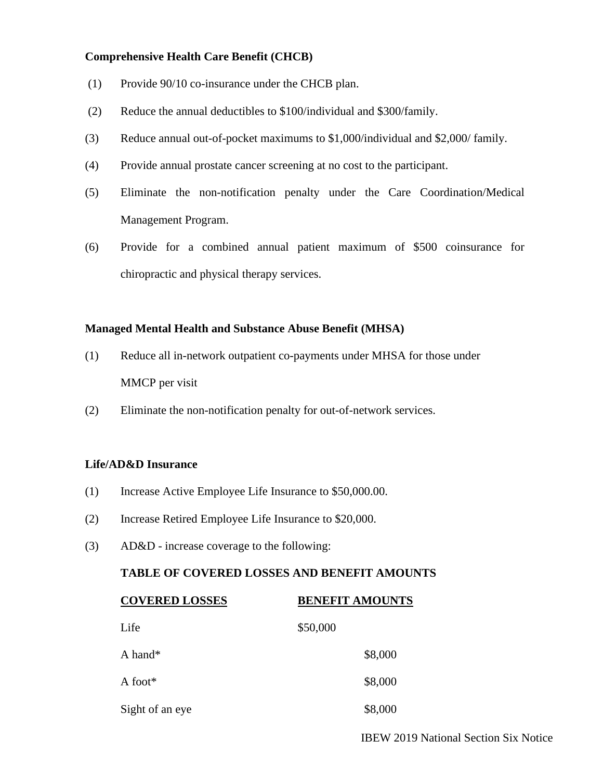## **Comprehensive Health Care Benefit (CHCB)**

- (1) Provide 90/10 co-insurance under the CHCB plan.
- (2) Reduce the annual deductibles to \$100/individual and \$300/family.
- (3) Reduce annual out-of-pocket maximums to \$1,000/individual and \$2,000/ family.
- (4) Provide annual prostate cancer screening at no cost to the participant.
- (5) Eliminate the non-notification penalty under the Care Coordination/Medical Management Program.
- (6) Provide for a combined annual patient maximum of \$500 coinsurance for chiropractic and physical therapy services.

## **Managed Mental Health and Substance Abuse Benefit (MHSA)**

- (1) Reduce all in-network outpatient co-payments under MHSA for those under MMCP per visit
- (2) Eliminate the non-notification penalty for out-of-network services.

# **Life/AD&D Insurance**

- (1) Increase Active Employee Life Insurance to \$50,000.00.
- (2) Increase Retired Employee Life Insurance to \$20,000.
- (3) AD&D increase coverage to the following:

## **TABLE OF COVERED LOSSES AND BENEFIT AMOUNTS**

| <b>COVERED LOSSES</b> | <b>BENEFIT AMOUNTS</b> |
|-----------------------|------------------------|
| Life                  | \$50,000               |
| A hand*               | \$8,000                |
| A foot*               | \$8,000                |
| Sight of an eye       | \$8,000                |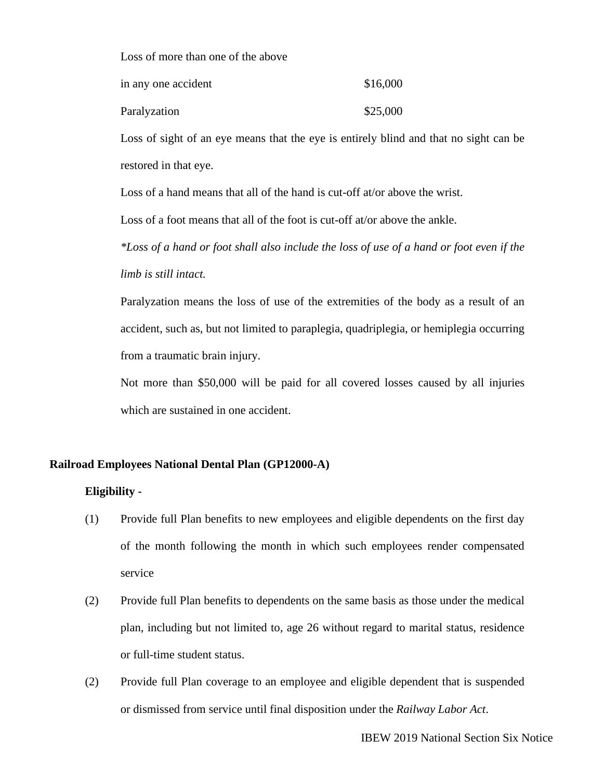Loss of more than one of the above

| in any one accident | \$16,000 |
|---------------------|----------|
| Paralyzation        | \$25,000 |

Loss of sight of an eye means that the eye is entirely blind and that no sight can be restored in that eye.

Loss of a hand means that all of the hand is cut-off at/or above the wrist.

Loss of a foot means that all of the foot is cut-off at/or above the ankle.

*\*Loss of a hand or foot shall also include the loss of use of a hand or foot even if the limb is still intact.* 

Paralyzation means the loss of use of the extremities of the body as a result of an accident, such as, but not limited to paraplegia, quadriplegia, or hemiplegia occurring from a traumatic brain injury.

Not more than \$50,000 will be paid for all covered losses caused by all injuries which are sustained in one accident.

### **Railroad Employees National Dental Plan (GP12000-A)**

### **Eligibility -**

- (1) Provide full Plan benefits to new employees and eligible dependents on the first day of the month following the month in which such employees render compensated service
- (2) Provide full Plan benefits to dependents on the same basis as those under the medical plan, including but not limited to, age 26 without regard to marital status, residence or full-time student status.
- (2) Provide full Plan coverage to an employee and eligible dependent that is suspended or dismissed from service until final disposition under the *Railway Labor Act*.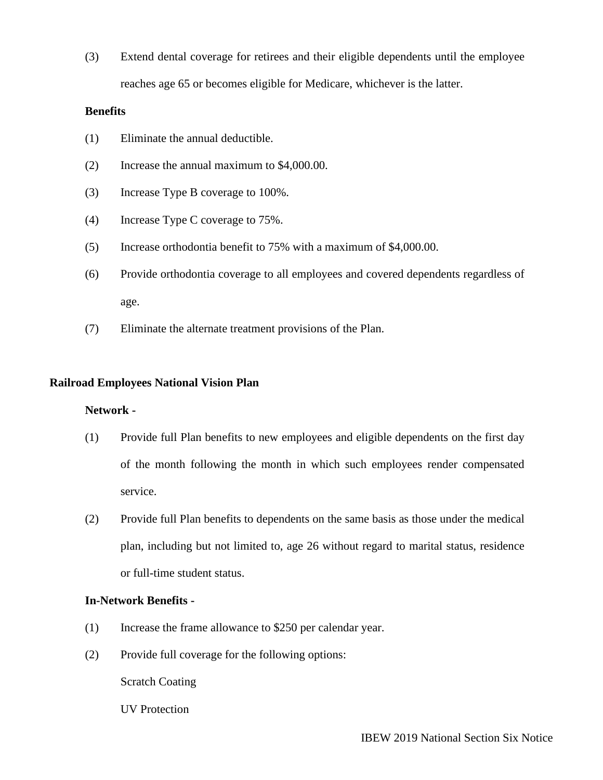(3) Extend dental coverage for retirees and their eligible dependents until the employee reaches age 65 or becomes eligible for Medicare, whichever is the latter.

## **Benefits**

- (1) Eliminate the annual deductible.
- (2) Increase the annual maximum to \$4,000.00.
- (3) Increase Type B coverage to 100%.
- (4) Increase Type C coverage to 75%.
- (5) Increase orthodontia benefit to 75% with a maximum of \$4,000.00.
- (6) Provide orthodontia coverage to all employees and covered dependents regardless of age.
- (7) Eliminate the alternate treatment provisions of the Plan.

## **Railroad Employees National Vision Plan**

### **Network -**

- (1) Provide full Plan benefits to new employees and eligible dependents on the first day of the month following the month in which such employees render compensated service.
- (2) Provide full Plan benefits to dependents on the same basis as those under the medical plan, including but not limited to, age 26 without regard to marital status, residence or full-time student status.

## **In-Network Benefits -**

- (1) Increase the frame allowance to \$250 per calendar year.
- (2) Provide full coverage for the following options:

Scratch Coating

UV Protection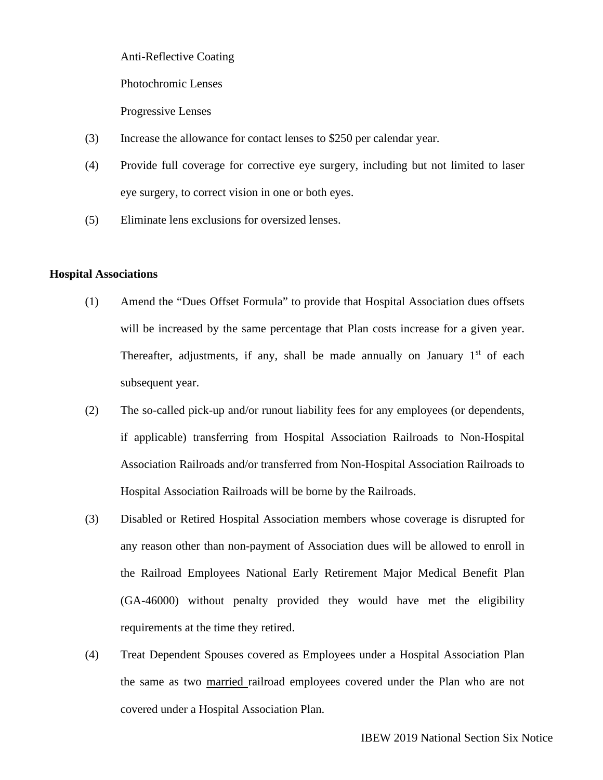Anti-Reflective Coating

Photochromic Lenses

Progressive Lenses

- (3) Increase the allowance for contact lenses to \$250 per calendar year.
- (4) Provide full coverage for corrective eye surgery, including but not limited to laser eye surgery, to correct vision in one or both eyes.
- (5) Eliminate lens exclusions for oversized lenses.

### **Hospital Associations**

- (1) Amend the "Dues Offset Formula" to provide that Hospital Association dues offsets will be increased by the same percentage that Plan costs increase for a given year. Thereafter, adjustments, if any, shall be made annually on January  $1<sup>st</sup>$  of each subsequent year.
- (2) The so-called pick-up and/or runout liability fees for any employees (or dependents, if applicable) transferring from Hospital Association Railroads to Non-Hospital Association Railroads and/or transferred from Non-Hospital Association Railroads to Hospital Association Railroads will be borne by the Railroads.
- (3) Disabled or Retired Hospital Association members whose coverage is disrupted for any reason other than non-payment of Association dues will be allowed to enroll in the Railroad Employees National Early Retirement Major Medical Benefit Plan (GA-46000) without penalty provided they would have met the eligibility requirements at the time they retired.
- (4) Treat Dependent Spouses covered as Employees under a Hospital Association Plan the same as two married railroad employees covered under the Plan who are not covered under a Hospital Association Plan.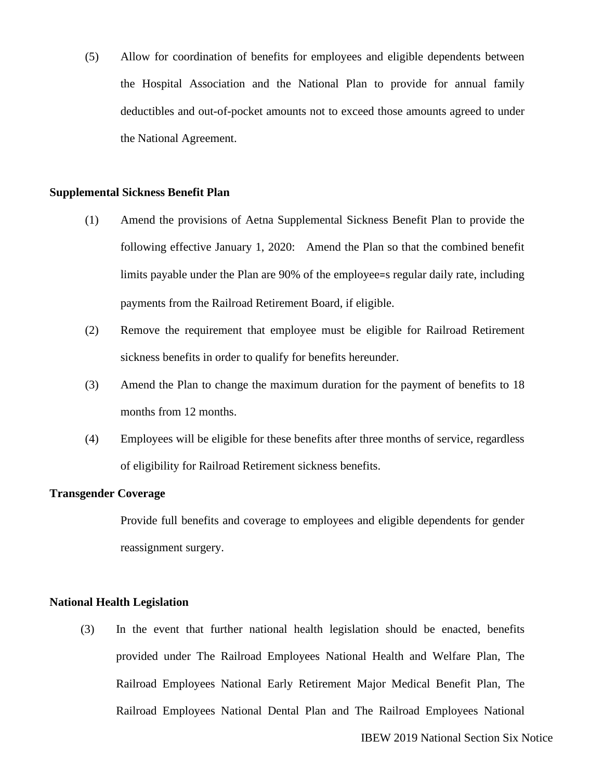(5) Allow for coordination of benefits for employees and eligible dependents between the Hospital Association and the National Plan to provide for annual family deductibles and out-of-pocket amounts not to exceed those amounts agreed to under the National Agreement.

### **Supplemental Sickness Benefit Plan**

- (1) Amend the provisions of Aetna Supplemental Sickness Benefit Plan to provide the following effective January 1, 2020: Amend the Plan so that the combined benefit limits payable under the Plan are 90% of the employee=s regular daily rate, including payments from the Railroad Retirement Board, if eligible.
- (2) Remove the requirement that employee must be eligible for Railroad Retirement sickness benefits in order to qualify for benefits hereunder.
- (3) Amend the Plan to change the maximum duration for the payment of benefits to 18 months from 12 months.
- (4) Employees will be eligible for these benefits after three months of service, regardless of eligibility for Railroad Retirement sickness benefits.

### **Transgender Coverage**

Provide full benefits and coverage to employees and eligible dependents for gender reassignment surgery.

### **National Health Legislation**

(3) In the event that further national health legislation should be enacted, benefits provided under The Railroad Employees National Health and Welfare Plan, The Railroad Employees National Early Retirement Major Medical Benefit Plan, The Railroad Employees National Dental Plan and The Railroad Employees National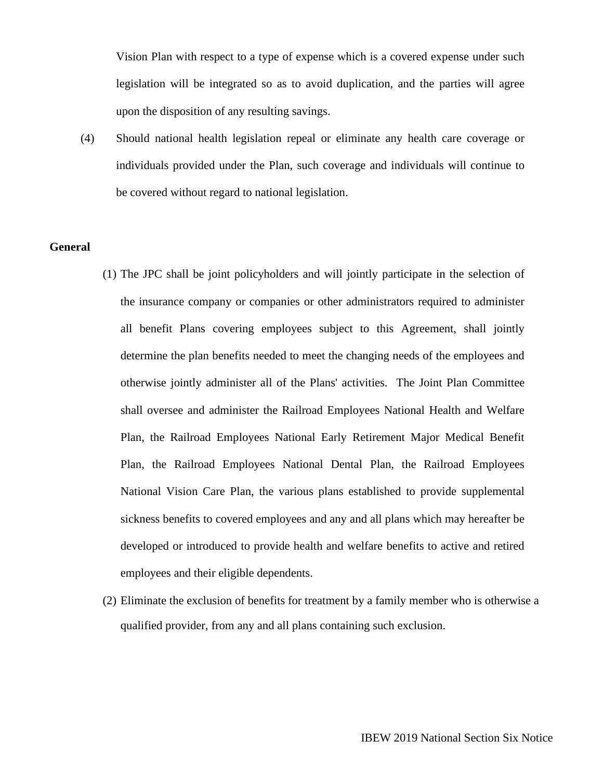Vision Plan with respect to a type of expense which is a covered expense under such legislation will be integrated so as to avoid duplication, and the parties will agree upon the disposition of any resulting savings.

(4) Should national health legislation repeal or eliminate any health care coverage or individuals provided under the Plan, such coverage and individuals will continue to be covered without regard to national legislation.

## **General**

- (1) The JPC shall be joint policyholders and will jointly participate in the selection of the insurance company or companies or other administrators required to administer all benefit Plans covering employees subject to this Agreement, shall jointly determine the plan benefits needed to meet the changing needs of the employees and otherwise jointly administer all of the Plans' activities. The Joint Plan Committee shall oversee and administer the Railroad Employees National Health and Welfare Plan, the Railroad Employees National Early Retirement Major Medical Benefit Plan, the Railroad Employees National Dental Plan, the Railroad Employees National Vision Care Plan, the various plans established to provide supplemental sickness benefits to covered employees and any and all plans which may hereafter be developed or introduced to provide health and welfare benefits to active and retired employees and their eligible dependents.
- (2) Eliminate the exclusion of benefits for treatment by a family member who is otherwise a qualified provider, from any and all plans containing such exclusion.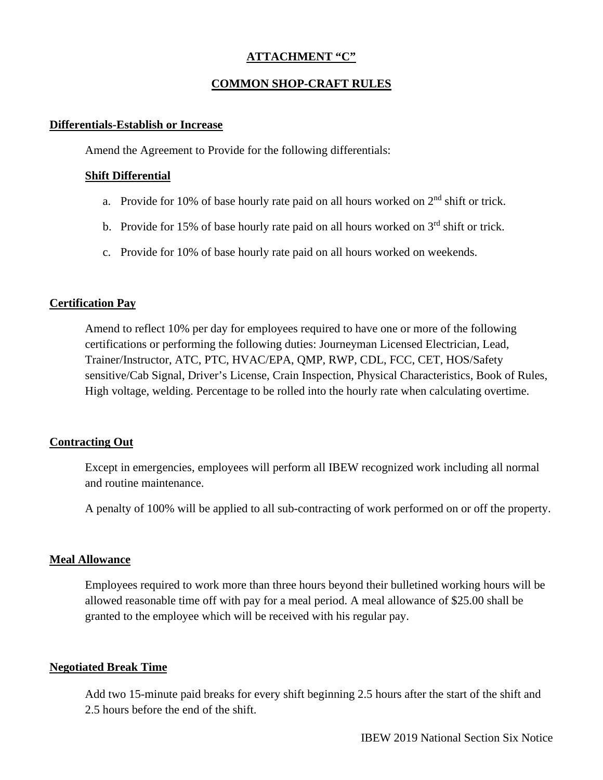# **ATTACHMENT "C"**

# **COMMON SHOP-CRAFT RULES**

### **Differentials-Establish or Increase**

Amend the Agreement to Provide for the following differentials:

## **Shift Differential**

- a. Provide for 10% of base hourly rate paid on all hours worked on  $2<sup>nd</sup>$  shift or trick.
- b. Provide for 15% of base hourly rate paid on all hours worked on  $3<sup>rd</sup>$  shift or trick.
- c. Provide for 10% of base hourly rate paid on all hours worked on weekends.

## **Certification Pay**

Amend to reflect 10% per day for employees required to have one or more of the following certifications or performing the following duties: Journeyman Licensed Electrician, Lead, Trainer/Instructor, ATC, PTC, HVAC/EPA, QMP, RWP, CDL, FCC, CET, HOS/Safety sensitive/Cab Signal, Driver's License, Crain Inspection, Physical Characteristics, Book of Rules, High voltage, welding. Percentage to be rolled into the hourly rate when calculating overtime.

## **Contracting Out**

Except in emergencies, employees will perform all IBEW recognized work including all normal and routine maintenance.

A penalty of 100% will be applied to all sub-contracting of work performed on or off the property.

## **Meal Allowance**

Employees required to work more than three hours beyond their bulletined working hours will be allowed reasonable time off with pay for a meal period. A meal allowance of \$25.00 shall be granted to the employee which will be received with his regular pay.

## **Negotiated Break Time**

Add two 15-minute paid breaks for every shift beginning 2.5 hours after the start of the shift and 2.5 hours before the end of the shift.